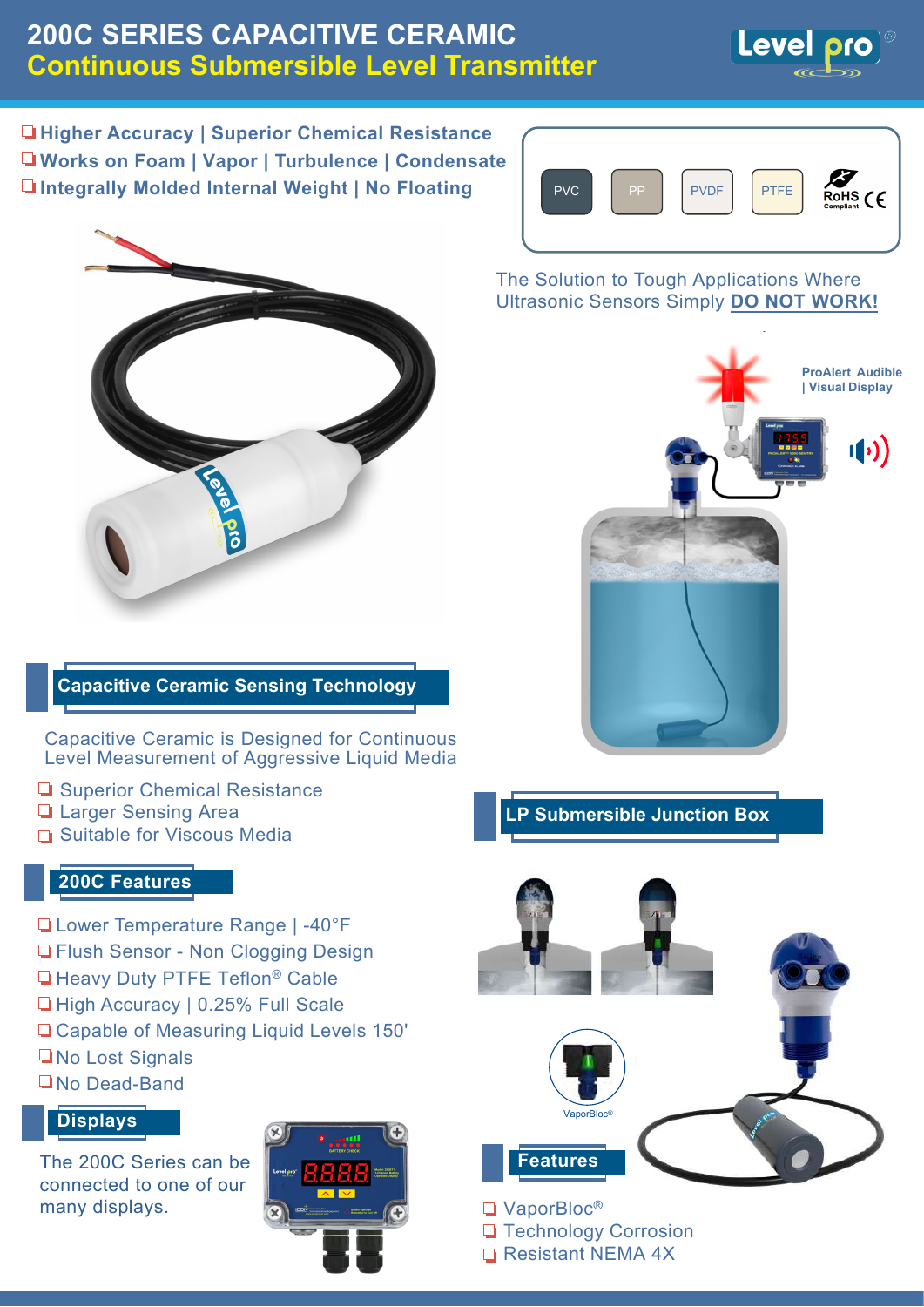# **200C SERIES CAPACITIVE CERAMIC Continuous Submersible Level Transmitter**



**Higher Accuracy | Superior Chemical Resistance Works on Foam | Vapor | Turbulence | Condensate Integrally Molded Internal Weight | No Floating**



### **Capacitive Ceramic Sensing Technology**

Capacitive Ceramic is Designed for Continuous Level Measurement of Aggressive Liquid Media

- **□ Superior Chemical Resistance**
- **Larger Sensing Area**
- **□ Suitable for Viscous Media**

#### **200C Features**

- Lower Temperature Range | -40°F
- **T** Flush Sensor Non Clogging Design
- **Heavy Duty PTFE Teflon<sup>®</sup> Cable**
- □ High Accuracy | 0.25% Full Scale
- Capable of Measuring Liquid Levels 150'
- **No Lost Signals**
- **No Dead-Band**

#### **Displays**

The 200C Series can be connected to one of our many displays.





The Solution to Tough Applications Where Ultrasonic Sensors Simply **DO NOT WORK!**



### **LP Submersible Junction Box**



**Technology Corrosion** 

Resistant NEMA 4X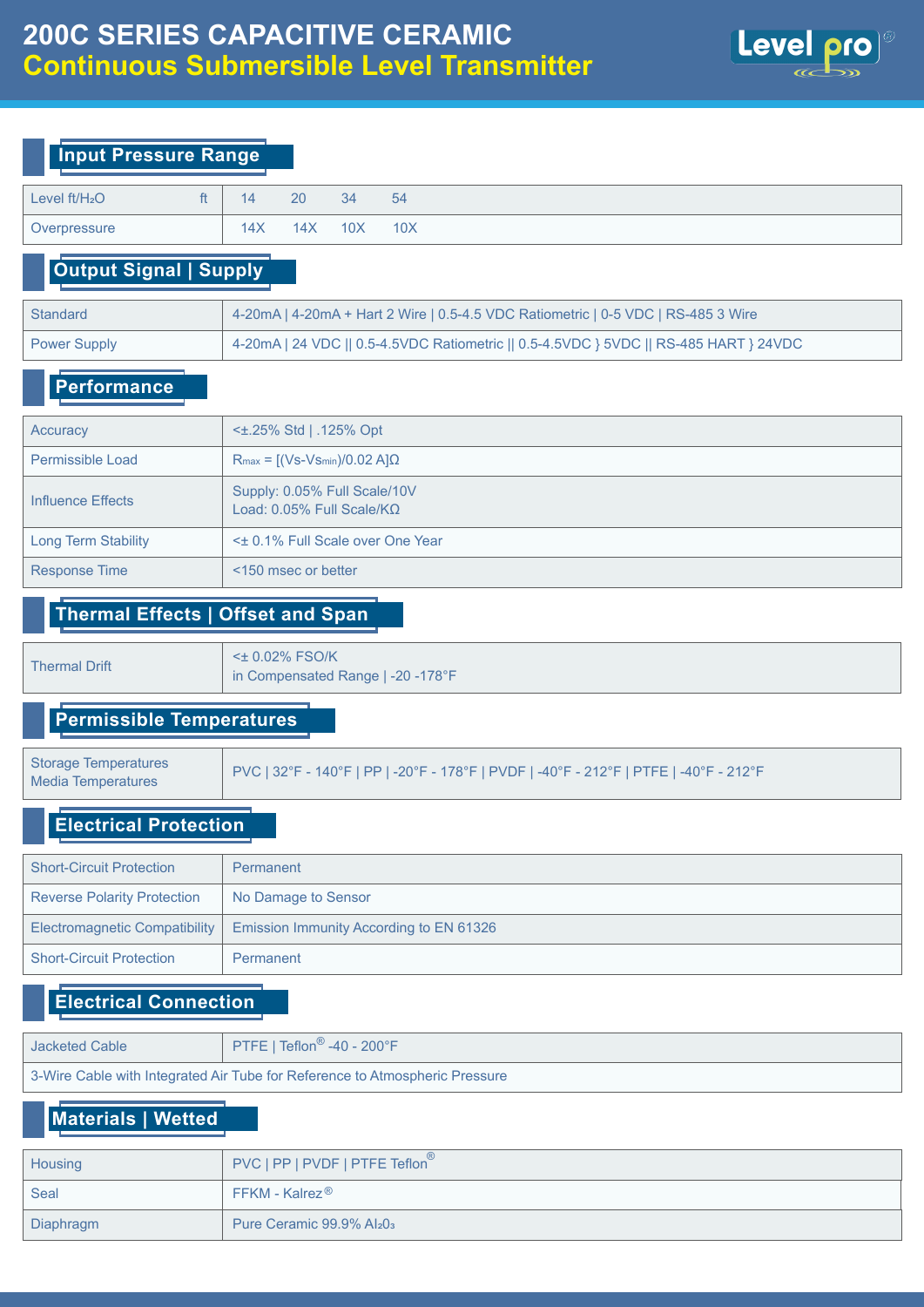

| Level $ft/H2O$ | £1. | 14  | 20  | 34              | 54  |
|----------------|-----|-----|-----|-----------------|-----|
| Overpressure   |     | 14X | 14X | 10 <sub>X</sub> | 10X |

### **Output Signal | Supply**

| Standard     | 4-20mA   4-20mA + Hart 2 Wire   0.5-4.5 VDC Ratiometric   0-5 VDC   RS-485 3 Wire     |
|--------------|---------------------------------------------------------------------------------------|
| Power Supply | 4-20mA   24 VDC    0.5-4.5VDC Ratiometric    0.5-4.5VDC } 5VDC    RS-485 HART } 24VDC |

#### **Performance**

| Accuracy                   | $\leq$ 1.25% Std   .125% Opt                                 |
|----------------------------|--------------------------------------------------------------|
| Permissible Load           | $R_{max} = [(Vs-Vs_{min})/0.02 A]\Omega$                     |
| Influence Effects          | Supply: 0.05% Full Scale/10V<br>Load: $0.05\%$ Full Scale/KQ |
| <b>Long Term Stability</b> | < $\pm$ 0.1% Full Scale over One Year                        |
| <b>Response Time</b>       | <150 msec or better                                          |

#### **Thermal Effects | Offset and Span**

<± 0.02% FSO/K Thermal Drift<br>in Compensated Range | -20 -178°F

#### **Permissible Temperatures**

Media Temperatures

Storage Temperatures<br>Media Temperatures PVC | 32°F - 140°F | PP | -20°F - 178°F | PVDF | -40°F - 212°F | PTFE | -40°F - 212°F

#### **Electrical Protection**

| <b>Short-Circuit Protection</b>                           | Permanent                                                               |
|-----------------------------------------------------------|-------------------------------------------------------------------------|
| <b>Reverse Polarity Protection</b><br>No Damage to Sensor |                                                                         |
|                                                           | Electromagnetic Compatibility   Emission Immunity According to EN 61326 |
| <b>Short-Circuit Protection</b>                           | Permanent                                                               |

### **Electrical Connection**

| <b>Jacketed Cable</b>                                                       | PTFE   Teflon <sup>®</sup> -40 - 200°F |  |  |  |  |  |  |
|-----------------------------------------------------------------------------|----------------------------------------|--|--|--|--|--|--|
| 3-Wire Cable with Integrated Air Tube for Reference to Atmospheric Pressure |                                        |  |  |  |  |  |  |

## **Materials | Wetted**

| Housing   | PVC   PP   PVDF   PTFE Teflon <sup>®</sup>           |
|-----------|------------------------------------------------------|
| Seal      | $FFKM - Kalrez^{\circledR}$                          |
| Diaphragm | Pure Ceramic $99.9\%$ Al <sub>2</sub> 0 <sub>3</sub> |